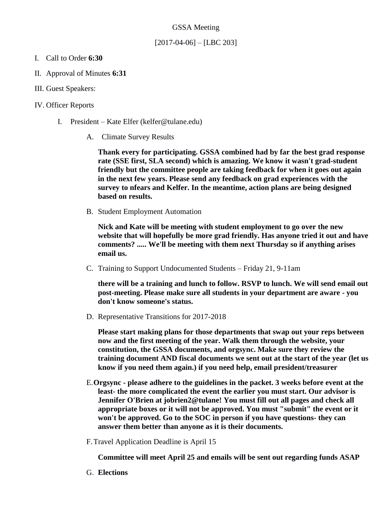### GSSA Meeting

## $[2017-04-06] - [LBC 203]$

- I. Call to Order **6:30**
- II. Approval of Minutes **6:31**
- III. Guest Speakers:

## IV. Officer Reports

- I. President Kate Elfer (kelfer@tulane.edu)
	- A. Climate Survey Results

**Thank every for participating. GSSA combined had by far the best grad response rate (SSE first, SLA second) which is amazing. We know it wasn't grad-student friendly but the committee people are taking feedback for when it goes out again in the next few years. Please send any feedback on grad experiences with the survey to nfears and Kelfer. In the meantime, action plans are being designed based on results.**

B. Student Employment Automation

**Nick and Kate will be meeting with student employment to go over the new website that will hopefully be more grad friendly. Has anyone tried it out and have comments? ..... We'll be meeting with them next Thursday so if anything arises email us.**

C. Training to Support Undocumented Students – Friday 21, 9-11am

**there will be a training and lunch to follow. RSVP to lunch. We will send email out post-meeting. Please make sure all students in your department are aware - you don't know someone's status.**

D. Representative Transitions for 2017-2018

**Please start making plans for those departments that swap out your reps between now and the first meeting of the year. Walk them through the website, your constitution, the GSSA documents, and orgsync. Make sure they review the training document AND fiscal documents we sent out at the start of the year (let us know if you need them again.) if you need help, email president/treasurer**

- E.**Orgsync - please adhere to the guidelines in the packet. 3 weeks before event at the least- the more complicated the event the earlier you must start. Our advisor is Jennifer O'Brien at jobrien2@tulane! You must fill out all pages and check all appropriate boxes or it will not be approved. You must "submit" the event or it won't be approved. Go to the SOC in person if you have questions- they can answer them better than anyone as it is their documents.**
- F.Travel Application Deadline is April 15

**Committee will meet April 25 and emails will be sent out regarding funds ASAP**

G. **Elections**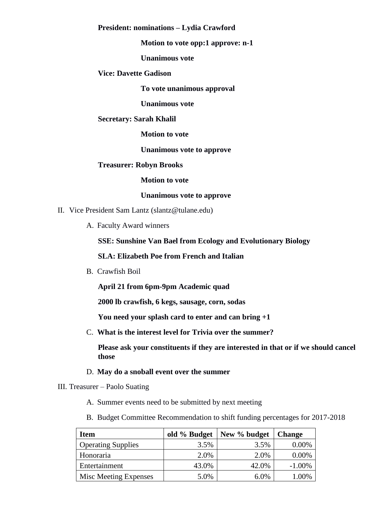#### **President: nominations – Lydia Crawford**

#### **Motion to vote opp:1 approve: n-1**

**Unanimous vote**

#### **Vice: Davette Gadison**

**To vote unanimous approval**

**Unanimous vote**

#### **Secretary: Sarah Khalil**

**Motion to vote**

**Unanimous vote to approve**

#### **Treasurer: Robyn Brooks**

**Motion to vote**

#### **Unanimous vote to approve**

- II. Vice President Sam Lantz (slantz@tulane.edu)
	- A. Faculty Award winners

## **SSE: Sunshine Van Bael from Ecology and Evolutionary Biology**

### **SLA: Elizabeth Poe from French and Italian**

B. Crawfish Boil

**April 21 from 6pm-9pm Academic quad**

**2000 lb crawfish, 6 kegs, sausage, corn, sodas**

**You need your splash card to enter and can bring +1**

C. **What is the interest level for Trivia over the summer?**

**Please ask your constituents if they are interested in that or if we should cancel those**

- D. **May do a snoball event over the summer**
- III. Treasurer Paolo Suating
	- A. Summer events need to be submitted by next meeting
	- B. Budget Committee Recommendation to shift funding percentages for 2017-2018

| <b>Item</b>               | old % Budget | New % budget | <b>Change</b> |
|---------------------------|--------------|--------------|---------------|
| <b>Operating Supplies</b> | 3.5%         | 3.5%         | 0.00%         |
| Honoraria                 | 2.0%         | 2.0%         | 0.00%         |
| Entertainment             | 43.0%        | 42.0%        | $-1.00\%$     |
| Misc Meeting Expenses     | 5.0%         | 6.0%         | 1.00%         |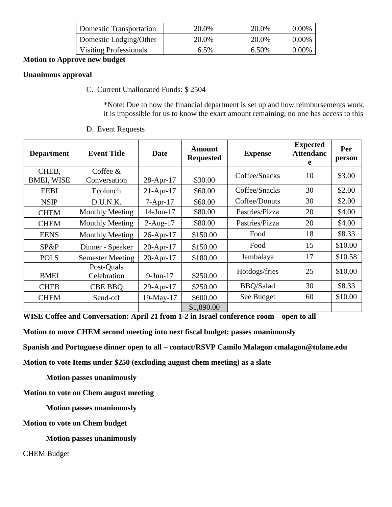| <b>Domestic Transportation</b> | 20.0%   | 20.0% | $0.00\%$ |
|--------------------------------|---------|-------|----------|
| Domestic Lodging/Other         | 20.0%   | 20.0% | $0.00\%$ |
| <b>Visiting Professionals</b>  | $6.5\%$ | 6.50% | $0.00\%$ |

## **Motion to Approve new budget**

## **Unanimous approval**

C. Current Unallocated Funds: \$ 2504

\*Note: Due to how the financial department is set up and how reimbursements work, it is impossible for us to know the exact amount remaining, no one has access to this

| <b>Department</b>          | <b>Event Title</b>         | <b>Date</b>  | Amount<br><b>Requested</b> | <b>Expense</b>   | <b>Expected</b><br><b>Attendanc</b><br>e | Per<br>person |
|----------------------------|----------------------------|--------------|----------------------------|------------------|------------------------------------------|---------------|
| CHEB,<br><b>BMEI, WISE</b> | Coffee $&$<br>Conversation | $28$ -Apr-17 | \$30.00                    | Coffee/Snacks    | 10                                       | \$3.00        |
| <b>EEBI</b>                | Ecolunch                   | $21-Apr-17$  | \$60.00                    | Coffee/Snacks    | 30                                       | \$2.00        |
| <b>NSIP</b>                | D.U.N.K.                   | $7-Apr-17$   | \$60.00                    | Coffee/Donuts    | 30                                       | \$2.00        |
| <b>CHEM</b>                | <b>Monthly Meeting</b>     | 14-Jun-17    | \$80.00                    | Pastries/Pizza   | 20                                       | \$4.00        |
| <b>CHEM</b>                | <b>Monthly Meeting</b>     | $2-Aug-17$   | \$80.00                    | Pastries/Pizza   | 20                                       | \$4.00        |
| <b>EENS</b>                | <b>Monthly Meeting</b>     | $26$ -Apr-17 | \$150.00                   | Food             | 18                                       | \$8.33        |
| SP&P                       | Dinner - Speaker           | $20$ -Apr-17 | \$150.00                   | Food             | 15                                       | \$10.00       |
| <b>POLS</b>                | <b>Semester Meeting</b>    | $20$ -Apr-17 | \$180.00                   | Jambalaya        | 17                                       | \$10.58       |
| <b>BMEI</b>                | Post-Quals<br>Celebration  | $9$ -Jun-17  | \$250.00                   | Hotdogs/fries    | 25                                       | \$10.00       |
| <b>CHEB</b>                | <b>CBE BBO</b>             | $29$ -Apr-17 | \$250.00                   | <b>BBQ/Salad</b> | 30                                       | \$8.33        |
| <b>CHEM</b>                | Send-off                   | 19-May-17    | \$600.00                   | See Budget       | 60                                       | \$10.00       |
|                            |                            |              | \$1,890.00                 |                  |                                          |               |

D. Event Requests

**WISE Coffee and Conversation: April 21 from 1-2 in Israel conference room – open to all**

**Motion to move CHEM second meeting into next fiscal budget: passes unanimously**

**Spanish and Portuguese dinner open to all – contact/RSVP Camilo Malagon cmalagon@tulane.edu**

**Motion to vote Items under \$250 (excluding august chem meeting) as a slate**

**Motion passes unanimously**

**Motion to vote on Chem august meeting**

**Motion passes unanimously**

**Motion to vote on Chem budget**

**Motion passes unanimously**

CHEM Budget